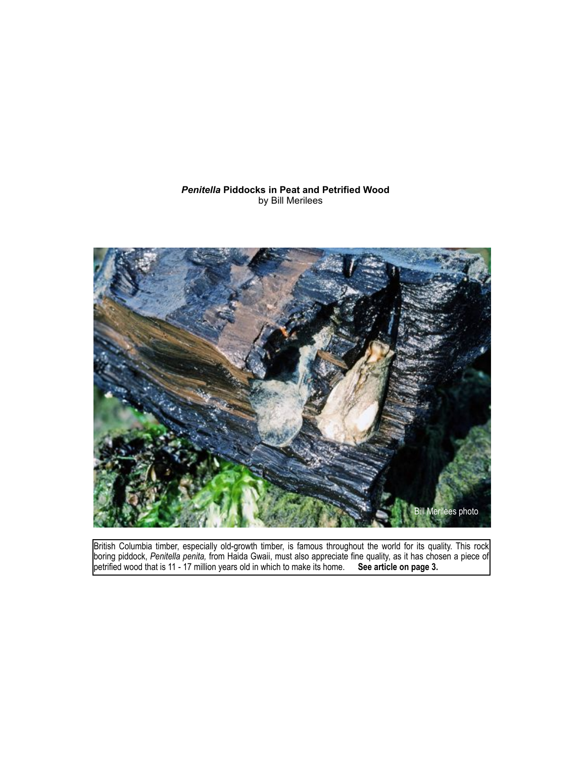## *Penitella* **Piddocks in Peat and Petrified Wood** by Bill Merilees



British Columbia timber, especially old-growth timber, is famous throughout the world for its quality. This rock boring piddock, *Penitella penita,* from Haida Gwaii, must also appreciate fine quality, as it has chosen a piece of petrified wood that is 11 - 17 million years old in which to make its home. **See article on page 3.**